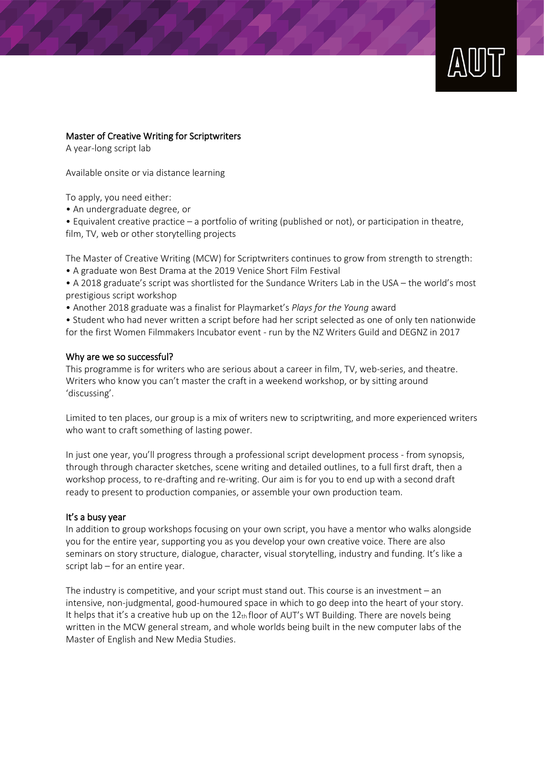

### Master of Creative Writing for Scriptwriters

A year-long script lab

Available onsite or via distance learning

To apply, you need either:

• An undergraduate degree, or

• Equivalent creative practice – a portfolio of writing (published or not), or participation in theatre, film, TV, web or other storytelling projects

The Master of Creative Writing (MCW) for Scriptwriters continues to grow from strength to strength:

• A graduate won Best Drama at the 2019 Venice Short Film Festival

- A 2018 graduate's script was shortlisted for the Sundance Writers Lab in the USA the world's most prestigious script workshop
- Another 2018 graduate was a finalist for Playmarket's *Plays for the Young* award

• Student who had never written a script before had her script selected as one of only ten nationwide for the first Women Filmmakers Incubator event - run by the NZ Writers Guild and DEGNZ in 2017

#### Why are we so successful?

This programme is for writers who are serious about a career in film, TV, web-series, and theatre. Writers who know you can't master the craft in a weekend workshop, or by sitting around 'discussing'.

Limited to ten places, our group is a mix of writers new to scriptwriting, and more experienced writers who want to craft something of lasting power.

In just one year, you'll progress through a professional script development process - from synopsis, through through character sketches, scene writing and detailed outlines, to a full first draft, then a workshop process, to re-drafting and re-writing. Our aim is for you to end up with a second draft ready to present to production companies, or assemble your own production team.

### It's a busy year

In addition to group workshops focusing on your own script, you have a mentor who walks alongside you for the entire year, supporting you as you develop your own creative voice. There are also seminars on story structure, dialogue, character, visual storytelling, industry and funding. It's like a script lab – for an entire year.

The industry is competitive, and your script must stand out. This course is an investment – an intensive, non-judgmental, good-humoured space in which to go deep into the heart of your story. It helps that it's a creative hub up on the  $12<sub>th</sub>$  floor of AUT's WT Building. There are novels being written in the MCW general stream, and whole worlds being built in the new computer labs of the Master of English and New Media Studies.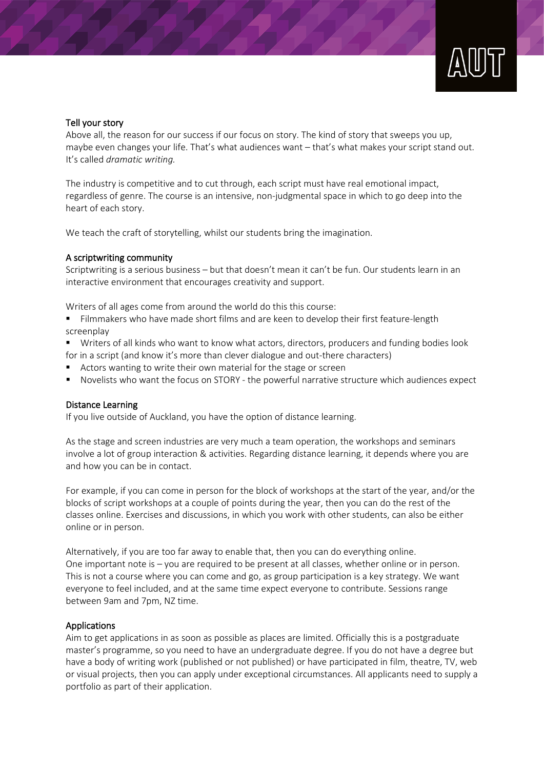### Tell your story

Above all, the reason for our success if our focus on story. The kind of story that sweeps you up, maybe even changes your life. That's what audiences want – that's what makes your script stand out. It's called *dramatic writing.* 

The industry is competitive and to cut through, each script must have real emotional impact, regardless of genre. The course is an intensive, non-judgmental space in which to go deep into the heart of each story.

We teach the craft of storytelling, whilst our students bring the imagination.

### A scriptwriting community

Scriptwriting is a serious business – but that doesn't mean it can't be fun. Our students learn in an interactive environment that encourages creativity and support.

Writers of all ages come from around the world do this this course:

Filmmakers who have made short films and are keen to develop their first feature-length screenplay

- Writers of all kinds who want to know what actors, directors, producers and funding bodies look for in a script (and know it's more than clever dialogue and out-there characters)
- Actors wanting to write their own material for the stage or screen
- Novelists who want the focus on STORY the powerful narrative structure which audiences expect

### Distance Learning

If you live outside of Auckland, you have the option of distance learning.

As the stage and screen industries are very much a team operation, the workshops and seminars involve a lot of group interaction & activities. Regarding distance learning, it depends where you are and how you can be in contact.

For example, if you can come in person for the block of workshops at the start of the year, and/or the blocks of script workshops at a couple of points during the year, then you can do the rest of the classes online. Exercises and discussions, in which you work with other students, can also be either online or in person.

Alternatively, if you are too far away to enable that, then you can do everything online. One important note is – you are required to be present at all classes, whether online or in person. This is not a course where you can come and go, as group participation is a key strategy. We want everyone to feel included, and at the same time expect everyone to contribute. Sessions range between 9am and 7pm, NZ time.

### Applications

Aim to get applications in as soon as possible as places are limited. Officially this is a postgraduate master's programme, so you need to have an undergraduate degree. If you do not have a degree but have a body of writing work (published or not published) or have participated in film, theatre, TV, web or visual projects, then you can apply under exceptional circumstances. All applicants need to supply a portfolio as part of their application.